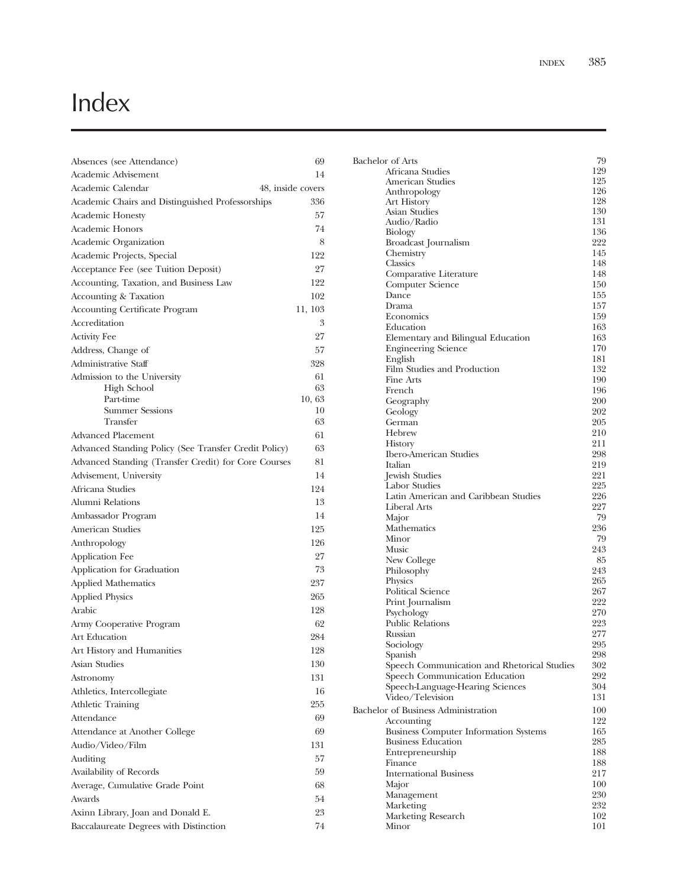## Index

| Absences (see Attendance)                             | 69      |
|-------------------------------------------------------|---------|
| Academic Advisement                                   | 14      |
| Academic Calendar<br>48, inside covers                |         |
| Academic Chairs and Distinguished Professorships      | 336     |
| <b>Academic Honesty</b>                               | 57      |
| <b>Academic Honors</b>                                | 74      |
| Academic Organization                                 | 8       |
| Academic Projects, Special                            | 122     |
| Acceptance Fee (see Tuition Deposit)                  | 27      |
| Accounting, Taxation, and Business Law                | 122     |
| Accounting & Taxation                                 | 102     |
| <b>Accounting Certificate Program</b>                 | 11, 103 |
| Accreditation                                         | 3       |
| <b>Activity Fee</b>                                   | 27      |
| Address, Change of                                    | 57      |
| Administrative Staff                                  | 328     |
| Admission to the University                           | 61      |
| High School                                           | 63      |
| Part-time                                             | 10,63   |
| <b>Summer Sessions</b>                                | 10      |
| Transfer                                              | 63      |
| <b>Advanced Placement</b>                             | 61      |
| Advanced Standing Policy (See Transfer Credit Policy) | 63      |
| Advanced Standing (Transfer Credit) for Core Courses  | 81      |
| Advisement, University<br>Africana Studies            | 14      |
|                                                       | 124     |
| Alumni Relations                                      | 13      |
| Ambassador Program                                    | 14      |
| American Studies                                      | 125     |
| Anthropology                                          | 126     |
| Application Fee                                       | 27      |
| Application for Graduation                            | 73      |
| Applied Mathematics                                   | 237     |
| <b>Applied Physics</b>                                | 265     |
| Arabic                                                | 128     |
| Army Cooperative Program                              | 62      |
| <b>Art Education</b>                                  | 284     |
| Art History and Humanities                            | 128     |
| <b>Asian Studies</b>                                  | 130     |
| Astronomy                                             | 131     |
| Athletics, Intercollegiate                            | 16      |
| <b>Athletic Training</b>                              | 255     |
| Attendance                                            | 69      |
| Attendance at Another College                         | 69      |
| Audio/Video/Film                                      | 131     |
| Auditing                                              | 57      |
| Availability of Records                               | 59      |
| Average, Cumulative Grade Point                       | 68      |
| Awards                                                | 54      |
| Axinn Library, Joan and Donald E.                     | 23      |
| Baccalaureate Degrees with Distinction                | 74      |
|                                                       |         |

| Bachelor of Arts                                                          | 79         |
|---------------------------------------------------------------------------|------------|
| Africana Studies                                                          | 129        |
| American Studies                                                          | 125        |
| Anthropology                                                              | 126        |
| Art History                                                               | 128        |
| Asian Studies                                                             | 130        |
| Audio/Radio                                                               | 131        |
| Biology                                                                   | 136        |
| Broadcast Journalism                                                      | 222        |
| Chemistry                                                                 | 145<br>148 |
| Classics<br>Comparative Literature                                        | 148        |
| Computer Science                                                          | 150        |
| Dance                                                                     | 155        |
| Drama                                                                     | 157        |
| Economics                                                                 | 159        |
| Education                                                                 | 163        |
| Elementary and Bilingual Education                                        | 163        |
| <b>Engineering Science</b>                                                | 170        |
| English                                                                   | 181        |
| Film Studies and Production                                               | 132        |
| Fine Arts                                                                 | 190        |
| French                                                                    | 196        |
| Geography                                                                 | 200        |
| Geology                                                                   | 202        |
| German<br>Hebrew                                                          | 205<br>210 |
| History                                                                   | 211        |
| <b>Ibero-American Studies</b>                                             | 298        |
| Italian                                                                   | 219        |
| Jewish Studies                                                            | 221        |
| <b>Labor Studies</b>                                                      | 225        |
| Latin American and Caribbean Studies                                      | 226        |
| Liberal Arts                                                              | 227        |
| Major                                                                     | 79         |
| Mathematics                                                               | 236        |
| Minor                                                                     | 79         |
| Music                                                                     | 243<br>85  |
| New College<br>Philosophy                                                 | 243        |
| Physics                                                                   | 265        |
| Political Science                                                         | 267        |
| Print Journalism                                                          | 222        |
| Psychology                                                                | 270        |
| <b>Public Relations</b>                                                   | 223        |
| Russian                                                                   | 277        |
| Sociology                                                                 | 295        |
| Spanish                                                                   | 298        |
| Speech Communication and Rhetorical Studies                               | 302        |
| Speech Communication Education                                            | 292        |
| Speech-Language-Hearing Sciences                                          | 304        |
| Video/Television                                                          | 131        |
| Bachelor of Business Administration                                       | 100        |
| Accounting                                                                | 122<br>165 |
| <b>Business Computer Information Systems</b><br><b>Business Education</b> | 285        |
| Entrepreneurship                                                          | 188        |
| Finance                                                                   | 188        |
| <b>International Business</b>                                             | 217        |
| Major                                                                     | 100        |
| Management                                                                | 230        |
| Marketing                                                                 | 232        |
| Marketing Research                                                        | 102        |
| Minor                                                                     | 101        |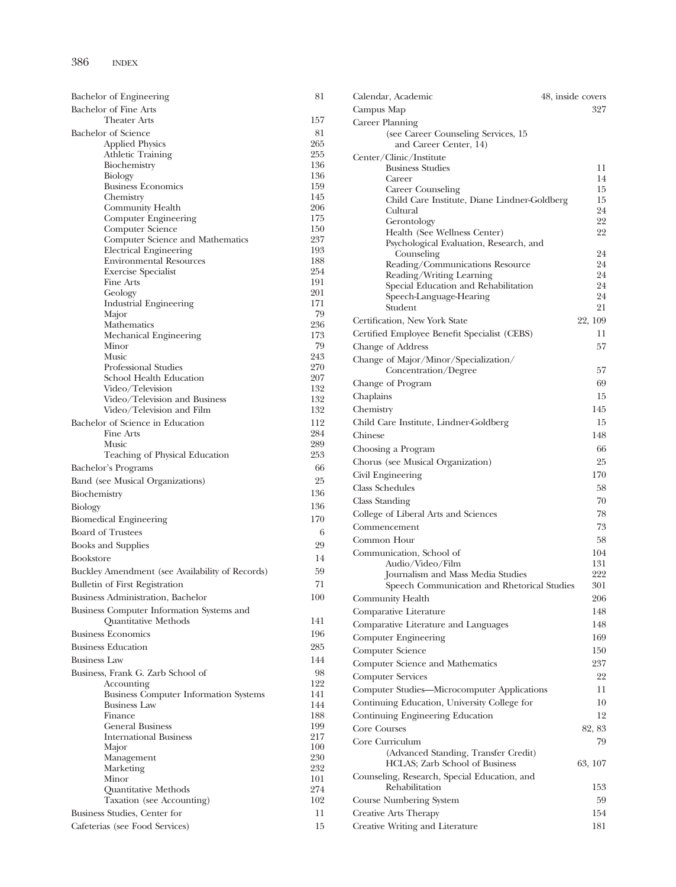| Dachelor of Engineering                                             |                |
|---------------------------------------------------------------------|----------------|
| <b>Bachelor of Fine Arts</b><br><b>Theater Arts</b>                 | 15             |
| Bachelor of Science                                                 | 8              |
| <b>Applied Physics</b>                                              | 26             |
| <b>Athletic Training</b>                                            | 25             |
| Biochemistry                                                        | 13             |
| Biology<br><b>Business Economics</b>                                | 13<br>15       |
| Chemistry                                                           | 14             |
| Community Health                                                    | 20             |
| Computer Engineering                                                | 17             |
| Computer Science                                                    | 15<br>23       |
| Computer Science and Mathematics<br>Electrical Engineering          | 19             |
| <b>Environmental Resources</b>                                      | 18             |
| <b>Exercise Specialist</b>                                          | 25             |
| Fine Arts                                                           | 19             |
| Geology<br><b>Industrial Engineering</b>                            | 20<br>17       |
| Major                                                               | 7              |
| Mathematics                                                         | 23             |
| Mechanical Engineering                                              | 17             |
| Minor                                                               | 7              |
| Music<br>Professional Studies                                       | 24<br>27       |
| School Health Education                                             | 20             |
| Video/Television                                                    | 13             |
| Video/Television and Business                                       | 13             |
| Video/Television and Film                                           | 13             |
| Bachelor of Science in Education<br>Fine Arts                       | 11<br>28       |
| Music                                                               | 28             |
| Teaching of Physical Education                                      | 25             |
| Bachelor's Programs                                                 | 6              |
| Band (see Musical Organizations)                                    | $\overline{2}$ |
| Biochemistry                                                        | 13             |
| Biology                                                             | 13             |
| <b>Biomedical Engineering</b>                                       | 17             |
| <b>Board of Trustees</b>                                            |                |
| <b>Books and Supplies</b>                                           | 2              |
| <b>Bookstore</b>                                                    | 1              |
| Buckley Amendment (see Availability of Records)                     | 5              |
| <b>Bulletin of First Registration</b>                               | 7              |
| Business Administration, Bachelor                                   | 10             |
| Business Computer Information Systems and                           |                |
| Quantitative Methods                                                | 14             |
| <b>Business Economics</b>                                           | 19             |
| <b>Business Education</b>                                           | 28             |
| <b>Business Law</b>                                                 | 14             |
| Business, Frank G. Zarb School of                                   | 9              |
| Accounting                                                          | 12             |
| <b>Business Computer Information Systems</b><br><b>Business Law</b> | 14<br>14       |
| Finance                                                             | 18             |
| <b>General Business</b>                                             | 19             |
| <b>International Business</b>                                       | 21             |
| Major                                                               | 10             |
| Management<br>Marketing                                             | 23<br>23       |
| Minor                                                               | 10             |
| <b>Quantitative Methods</b>                                         | 27             |
| Taxation (see Accounting)                                           | 10             |
| Business Studies, Center for                                        | 1              |
| Cafeterias (see Food Services)                                      | 1              |

| <b>Bachelor</b> of Engineering                    | 81         | Calendar, Academic                           | 48, inside covers |
|---------------------------------------------------|------------|----------------------------------------------|-------------------|
| Bachelor of Fine Arts                             |            | Campus Map                                   | 327               |
| <b>Theater Arts</b>                               | 157        | Career Planning                              |                   |
| <b>Bachelor</b> of Science                        | 81         | (see Career Counseling Services, 15)         |                   |
| <b>Applied Physics</b>                            | 265        | and Career Center, 14)                       |                   |
| Athletic Training                                 | 255        | Center/Clinic/Institute                      |                   |
| Biochemistry                                      | 136        | <b>Business Studies</b>                      | 11                |
| Biology                                           | 136        | Career                                       | 14                |
| <b>Business Economics</b><br>Chemistry            | 159<br>145 | Career Counseling                            | 15                |
| Community Health                                  | 206        | Child Care Institute, Diane Lindner-Goldberg | 15                |
| Computer Engineering                              | 175        | Cultural                                     | 24<br>22          |
| Computer Science                                  | 150        | Gerontology<br>Health (See Wellness Center)  | 22                |
| Computer Science and Mathematics                  | 237        | Psychological Evaluation, Research, and      |                   |
| <b>Electrical Engineering</b>                     | 193        | Counseling                                   | 24                |
| <b>Environmental Resources</b>                    | 188        | Reading/Communications Resource              | 24                |
| <b>Exercise Specialist</b>                        | 254        | Reading/Writing Learning                     | 24                |
| Fine Arts                                         | 191        | Special Education and Rehabilitation         | 24                |
| Geology                                           | 201<br>171 | Speech-Language-Hearing                      | 24                |
| <b>Industrial Engineering</b><br>Major            | 79         | Student                                      | 21                |
| Mathematics                                       | 236        | Certification, New York State                | 22, 109           |
| Mechanical Engineering                            | 173        | Certified Employee Benefit Specialist (CEBS) | 11                |
| Minor                                             | 79         | Change of Address                            | 57                |
| Music                                             | 243        | Change of Major/Minor/Specialization/        |                   |
| Professional Studies                              | 270        | Concentration/Degree                         | 57                |
| School Health Education                           | 207        | Change of Program                            | 69                |
| Video/Television                                  | 132        |                                              | 15                |
| Video/Television and Business                     | 132        | Chaplains                                    |                   |
| Video/Television and Film                         | 132        | Chemistry                                    | 145               |
| Bachelor of Science in Education                  | 112        | Child Care Institute, Lindner-Goldberg       | 15                |
| Fine Arts                                         | 284        | Chinese                                      | 148               |
| Music<br>Teaching of Physical Education           | 289<br>253 | Choosing a Program                           | 66                |
|                                                   |            | Chorus (see Musical Organization)            | 25                |
| Bachelor's Programs                               | 66         | Civil Engineering                            | 170               |
| Band (see Musical Organizations)                  | 25         | Class Schedules                              | 58                |
| Biochemistry                                      | 136        | Class Standing                               | 70                |
| Biology                                           | 136        | College of Liberal Arts and Sciences         | 78                |
| <b>Biomedical Engineering</b>                     | 170        |                                              |                   |
| <b>Board of Trustees</b>                          | 6          | Commencement                                 | 73                |
| <b>Books and Supplies</b>                         | 29         | Common Hour                                  | 58                |
| <b>Bookstore</b>                                  | 14         | Communication, School of                     | 104               |
| Buckley Amendment (see Availability of Records)   | 59         | Audio/Video/Film                             | 131               |
| <b>Bulletin of First Registration</b>             | 71         | Journalism and Mass Media Studies            | 222<br>301        |
|                                                   |            | Speech Communication and Rhetorical Studies  |                   |
| Business Administration, Bachelor                 | 100        | Community Health                             | 206               |
| Business Computer Information Systems and         |            | Comparative Literature                       | 148               |
| Quantitative Methods                              | 141        | Comparative Literature and Languages         | 148               |
| <b>Business Economics</b>                         | 196        | Computer Engineering                         | 169               |
| <b>Business Education</b>                         | 285        | Computer Science                             | 150               |
| <b>Business Law</b>                               | 144        | Computer Science and Mathematics             | 237               |
| Business, Frank G. Zarb School of                 | 98         | <b>Computer Services</b>                     | 22                |
| Accounting                                        | 122        | Computer Studies-Microcomputer Applications  | 11                |
| <b>Business Computer Information Systems</b>      | 141        |                                              |                   |
| <b>Business Law</b>                               | 144        | Continuing Education, University College for | 10                |
| Finance                                           | 188        | Continuing Engineering Education             | 12                |
| General Business<br><b>International Business</b> | 199<br>217 | Core Courses                                 | 82, 83            |
|                                                   | 100        | Core Curriculum                              | 79                |
| Major<br>Management                               | 230        | (Advanced Standing, Transfer Credit)         |                   |
| Marketing                                         | 232        | HCLAS; Zarb School of Business               | 63, 107           |
| Minor                                             | 101        | Counseling, Research, Special Education, and |                   |
| Quantitative Methods                              | 274        | Rehabilitation                               | 153               |
| Taxation (see Accounting)                         | 102        | Course Numbering System                      | 59                |
| Business Studies, Center for                      | 11         | Creative Arts Therapy                        | 154               |
| Cafeterias (see Food Services)                    | 15         | Creative Writing and Literature              | 181               |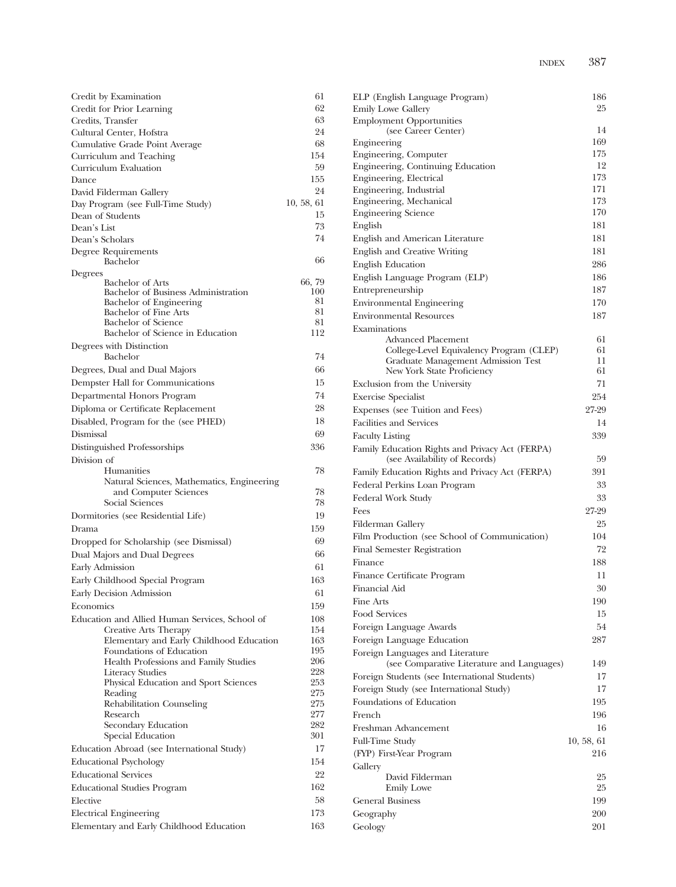| Credit by Examination                                             | 61            |
|-------------------------------------------------------------------|---------------|
| Credit for Prior Learning                                         | 62            |
| Credits, Transfer                                                 | 63            |
| Cultural Center, Hofstra                                          | 24            |
| Cumulative Grade Point Average                                    | 68            |
| Curriculum and Teaching                                           | 154           |
| Curriculum Evaluation                                             | 59            |
| Dance                                                             | 155           |
| David Filderman Gallery                                           | 24            |
| Day Program (see Full-Time Study)                                 | 10, 58, 61    |
| Dean of Students                                                  | 15            |
| Dean's List                                                       | 73            |
| Dean's Scholars                                                   | 74            |
| Degree Requirements                                               |               |
| Bachelor                                                          | 66            |
| Degrees                                                           |               |
| Bachelor of Arts<br>Bachelor of Business Administration           | 66, 79<br>100 |
| Bachelor of Engineering                                           | 81            |
| <b>Bachelor of Fine Arts</b>                                      | 81            |
| <b>Bachelor</b> of Science                                        | 81            |
| Bachelor of Science in Education                                  | 112           |
| Degrees with Distinction                                          |               |
| Bachelor                                                          | 74            |
| Degrees, Dual and Dual Majors                                     | 66            |
| Dempster Hall for Communications                                  | 15            |
| Departmental Honors Program                                       | 74            |
| Diploma or Certificate Replacement                                | 28            |
| Disabled, Program for the (see PHED)                              | 18            |
| Dismissal                                                         | 69            |
| Distinguished Professorships                                      | 336           |
| Division of                                                       |               |
| Humanities                                                        | 78            |
| Natural Sciences, Mathematics, Engineering                        |               |
| and Computer Sciences                                             | 78            |
| Social Sciences                                                   | 78            |
| Dormitories (see Residential Life)                                | 19            |
| Drama                                                             | 159           |
| Dropped for Scholarship (see Dismissal)                           | 69            |
| Dual Majors and Dual Degrees                                      | 66            |
| Early Admission                                                   | 61            |
|                                                                   | 163           |
| Early Childhood Special Program                                   |               |
| Early Decision Admission                                          | 61            |
| Economics                                                         | 159           |
| Education and Allied Human Services, School of                    | 108           |
| Creative Arts Therapy<br>Elementary and Early Childhood Education | 154<br>163    |
| Foundations of Education                                          | 195           |
| Health Professions and Family Studies                             | 206           |
| <b>Literacy Studies</b>                                           | 228           |
| Physical Education and Sport Sciences                             | 253           |
| Reading                                                           | 275           |
| Rehabilitation Counseling                                         | 275           |
| Research<br>Secondary Education                                   | 277<br>282    |
| Special Education                                                 | 301           |
|                                                                   | 17            |
| Education Abroad (see International Study)                        |               |
| <b>Educational Psychology</b>                                     | 154           |
| <b>Educational Services</b>                                       | 22            |
| <b>Educational Studies Program</b>                                | 162           |
| Elective                                                          | 58            |
| <b>Electrical Engineering</b>                                     | 173           |
| Elementary and Early Childhood Education                          | 163           |

| <b>Emily Lowe Gallery</b><br><b>Employment Opportunities</b><br>(see Career Center)<br>Engineering<br>Engineering, Computer<br>Engineering, Continuing Education<br>Engineering, Electrical<br>Engineering, Industrial<br>Engineering, Mechanical<br><b>Engineering Science</b><br>English<br>English and American Literature<br>English and Creative Writing<br><b>English Education</b><br>English Language Program (ELP)<br>Entrepreneurship<br><b>Environmental Engineering</b><br><b>Environmental Resources</b><br>Examinations<br>Advanced Placement<br>College-Level Equivalency Program (CLEP)<br>Graduate Management Admission Test<br>New York State Proficiency<br>Exclusion from the University<br><b>Exercise Specialist</b> | 25<br>14<br>169<br>175<br>12<br>173<br>171<br>173<br>170<br>181<br>181<br>181<br>286<br>186<br>187<br>170<br>187<br>61<br>61<br>11 |
|--------------------------------------------------------------------------------------------------------------------------------------------------------------------------------------------------------------------------------------------------------------------------------------------------------------------------------------------------------------------------------------------------------------------------------------------------------------------------------------------------------------------------------------------------------------------------------------------------------------------------------------------------------------------------------------------------------------------------------------------|------------------------------------------------------------------------------------------------------------------------------------|
|                                                                                                                                                                                                                                                                                                                                                                                                                                                                                                                                                                                                                                                                                                                                            |                                                                                                                                    |
|                                                                                                                                                                                                                                                                                                                                                                                                                                                                                                                                                                                                                                                                                                                                            |                                                                                                                                    |
|                                                                                                                                                                                                                                                                                                                                                                                                                                                                                                                                                                                                                                                                                                                                            |                                                                                                                                    |
|                                                                                                                                                                                                                                                                                                                                                                                                                                                                                                                                                                                                                                                                                                                                            |                                                                                                                                    |
|                                                                                                                                                                                                                                                                                                                                                                                                                                                                                                                                                                                                                                                                                                                                            |                                                                                                                                    |
|                                                                                                                                                                                                                                                                                                                                                                                                                                                                                                                                                                                                                                                                                                                                            |                                                                                                                                    |
|                                                                                                                                                                                                                                                                                                                                                                                                                                                                                                                                                                                                                                                                                                                                            |                                                                                                                                    |
|                                                                                                                                                                                                                                                                                                                                                                                                                                                                                                                                                                                                                                                                                                                                            |                                                                                                                                    |
|                                                                                                                                                                                                                                                                                                                                                                                                                                                                                                                                                                                                                                                                                                                                            |                                                                                                                                    |
|                                                                                                                                                                                                                                                                                                                                                                                                                                                                                                                                                                                                                                                                                                                                            |                                                                                                                                    |
|                                                                                                                                                                                                                                                                                                                                                                                                                                                                                                                                                                                                                                                                                                                                            |                                                                                                                                    |
|                                                                                                                                                                                                                                                                                                                                                                                                                                                                                                                                                                                                                                                                                                                                            |                                                                                                                                    |
|                                                                                                                                                                                                                                                                                                                                                                                                                                                                                                                                                                                                                                                                                                                                            |                                                                                                                                    |
|                                                                                                                                                                                                                                                                                                                                                                                                                                                                                                                                                                                                                                                                                                                                            |                                                                                                                                    |
|                                                                                                                                                                                                                                                                                                                                                                                                                                                                                                                                                                                                                                                                                                                                            |                                                                                                                                    |
|                                                                                                                                                                                                                                                                                                                                                                                                                                                                                                                                                                                                                                                                                                                                            |                                                                                                                                    |
|                                                                                                                                                                                                                                                                                                                                                                                                                                                                                                                                                                                                                                                                                                                                            |                                                                                                                                    |
|                                                                                                                                                                                                                                                                                                                                                                                                                                                                                                                                                                                                                                                                                                                                            |                                                                                                                                    |
|                                                                                                                                                                                                                                                                                                                                                                                                                                                                                                                                                                                                                                                                                                                                            |                                                                                                                                    |
|                                                                                                                                                                                                                                                                                                                                                                                                                                                                                                                                                                                                                                                                                                                                            |                                                                                                                                    |
|                                                                                                                                                                                                                                                                                                                                                                                                                                                                                                                                                                                                                                                                                                                                            |                                                                                                                                    |
|                                                                                                                                                                                                                                                                                                                                                                                                                                                                                                                                                                                                                                                                                                                                            |                                                                                                                                    |
|                                                                                                                                                                                                                                                                                                                                                                                                                                                                                                                                                                                                                                                                                                                                            | 61                                                                                                                                 |
|                                                                                                                                                                                                                                                                                                                                                                                                                                                                                                                                                                                                                                                                                                                                            | 71                                                                                                                                 |
|                                                                                                                                                                                                                                                                                                                                                                                                                                                                                                                                                                                                                                                                                                                                            | 254                                                                                                                                |
| Expenses (see Tuition and Fees)                                                                                                                                                                                                                                                                                                                                                                                                                                                                                                                                                                                                                                                                                                            | 27-29                                                                                                                              |
| <b>Facilities and Services</b>                                                                                                                                                                                                                                                                                                                                                                                                                                                                                                                                                                                                                                                                                                             | 14                                                                                                                                 |
| <b>Faculty Listing</b>                                                                                                                                                                                                                                                                                                                                                                                                                                                                                                                                                                                                                                                                                                                     | 339                                                                                                                                |
| Family Education Rights and Privacy Act (FERPA)                                                                                                                                                                                                                                                                                                                                                                                                                                                                                                                                                                                                                                                                                            |                                                                                                                                    |
| (see Availability of Records)                                                                                                                                                                                                                                                                                                                                                                                                                                                                                                                                                                                                                                                                                                              | 59                                                                                                                                 |
| Family Education Rights and Privacy Act (FERPA)                                                                                                                                                                                                                                                                                                                                                                                                                                                                                                                                                                                                                                                                                            | 391                                                                                                                                |
| Federal Perkins Loan Program                                                                                                                                                                                                                                                                                                                                                                                                                                                                                                                                                                                                                                                                                                               | 33                                                                                                                                 |
| Federal Work Study                                                                                                                                                                                                                                                                                                                                                                                                                                                                                                                                                                                                                                                                                                                         | 33                                                                                                                                 |
| Fees                                                                                                                                                                                                                                                                                                                                                                                                                                                                                                                                                                                                                                                                                                                                       | 27-29                                                                                                                              |
| Filderman Gallery                                                                                                                                                                                                                                                                                                                                                                                                                                                                                                                                                                                                                                                                                                                          | 25                                                                                                                                 |
| Film Production (see School of Communication)                                                                                                                                                                                                                                                                                                                                                                                                                                                                                                                                                                                                                                                                                              | 104                                                                                                                                |
| Final Semester Registration                                                                                                                                                                                                                                                                                                                                                                                                                                                                                                                                                                                                                                                                                                                | 72                                                                                                                                 |
| Finance                                                                                                                                                                                                                                                                                                                                                                                                                                                                                                                                                                                                                                                                                                                                    | 188                                                                                                                                |
| Finance Certificate Program                                                                                                                                                                                                                                                                                                                                                                                                                                                                                                                                                                                                                                                                                                                | 11                                                                                                                                 |
| Financial Aid                                                                                                                                                                                                                                                                                                                                                                                                                                                                                                                                                                                                                                                                                                                              | 30                                                                                                                                 |
| Fine Arts                                                                                                                                                                                                                                                                                                                                                                                                                                                                                                                                                                                                                                                                                                                                  | 190                                                                                                                                |
| <b>Food Services</b>                                                                                                                                                                                                                                                                                                                                                                                                                                                                                                                                                                                                                                                                                                                       | 15                                                                                                                                 |
|                                                                                                                                                                                                                                                                                                                                                                                                                                                                                                                                                                                                                                                                                                                                            | 54                                                                                                                                 |
|                                                                                                                                                                                                                                                                                                                                                                                                                                                                                                                                                                                                                                                                                                                                            |                                                                                                                                    |
| Foreign Language Awards                                                                                                                                                                                                                                                                                                                                                                                                                                                                                                                                                                                                                                                                                                                    |                                                                                                                                    |
| Foreign Language Education                                                                                                                                                                                                                                                                                                                                                                                                                                                                                                                                                                                                                                                                                                                 | 287                                                                                                                                |
| Foreign Languages and Literature                                                                                                                                                                                                                                                                                                                                                                                                                                                                                                                                                                                                                                                                                                           |                                                                                                                                    |
| (see Comparative Literature and Languages)                                                                                                                                                                                                                                                                                                                                                                                                                                                                                                                                                                                                                                                                                                 | 149                                                                                                                                |
| Foreign Students (see International Students)                                                                                                                                                                                                                                                                                                                                                                                                                                                                                                                                                                                                                                                                                              | 17                                                                                                                                 |
| Foreign Study (see International Study)                                                                                                                                                                                                                                                                                                                                                                                                                                                                                                                                                                                                                                                                                                    | 17                                                                                                                                 |
| Foundations of Education                                                                                                                                                                                                                                                                                                                                                                                                                                                                                                                                                                                                                                                                                                                   | 195                                                                                                                                |
| French                                                                                                                                                                                                                                                                                                                                                                                                                                                                                                                                                                                                                                                                                                                                     | 196                                                                                                                                |
| Freshman Advancement                                                                                                                                                                                                                                                                                                                                                                                                                                                                                                                                                                                                                                                                                                                       | 16                                                                                                                                 |
| <b>Full-Time Study</b>                                                                                                                                                                                                                                                                                                                                                                                                                                                                                                                                                                                                                                                                                                                     | 10, 58, 61                                                                                                                         |
| (FYP) First-Year Program                                                                                                                                                                                                                                                                                                                                                                                                                                                                                                                                                                                                                                                                                                                   | 216                                                                                                                                |
| Gallery                                                                                                                                                                                                                                                                                                                                                                                                                                                                                                                                                                                                                                                                                                                                    |                                                                                                                                    |
| David Filderman                                                                                                                                                                                                                                                                                                                                                                                                                                                                                                                                                                                                                                                                                                                            | 25                                                                                                                                 |
| <b>Emily Lowe</b>                                                                                                                                                                                                                                                                                                                                                                                                                                                                                                                                                                                                                                                                                                                          | 25                                                                                                                                 |
| <b>General Business</b>                                                                                                                                                                                                                                                                                                                                                                                                                                                                                                                                                                                                                                                                                                                    | 199                                                                                                                                |
| Geography<br>Geology                                                                                                                                                                                                                                                                                                                                                                                                                                                                                                                                                                                                                                                                                                                       | 200<br>201                                                                                                                         |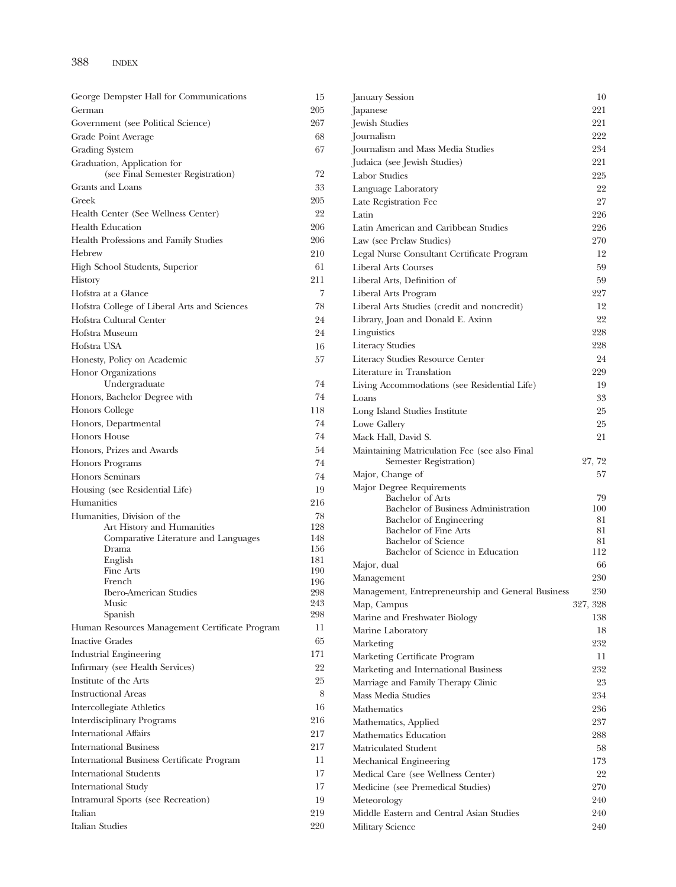| George Dempster Hall for Communications        | 15         | January Session                                                         | 10       |
|------------------------------------------------|------------|-------------------------------------------------------------------------|----------|
| German                                         | 205        | Japanese                                                                | 221      |
| Government (see Political Science)             | 267        | Jewish Studies                                                          | 221      |
| Grade Point Average                            | 68         | Journalism                                                              | 222      |
| Grading System                                 | 67         | Journalism and Mass Media Studies                                       | 234      |
| Graduation, Application for                    |            | Judaica (see Jewish Studies)                                            | 221      |
| (see Final Semester Registration)              | 72         | Labor Studies                                                           | 225      |
| Grants and Loans                               | 33         | Language Laboratory                                                     | 22       |
| Greek                                          | 205        | Late Registration Fee                                                   | 27       |
| Health Center (See Wellness Center)            | 22         | Latin                                                                   | 226      |
| <b>Health Education</b>                        | 206        | Latin American and Caribbean Studies                                    | 226      |
| Health Professions and Family Studies          | 206        | Law (see Prelaw Studies)                                                | 270      |
| Hebrew                                         | 210        | Legal Nurse Consultant Certificate Program                              | 12       |
| High School Students, Superior                 | 61         | <b>Liberal Arts Courses</b>                                             | 59       |
| History                                        | 211        | Liberal Arts, Definition of                                             | 59       |
| Hofstra at a Glance                            | 7          | Liberal Arts Program                                                    | 227      |
| Hofstra College of Liberal Arts and Sciences   | 78         | Liberal Arts Studies (credit and noncredit)                             | 12       |
| Hofstra Cultural Center                        | 24         | Library, Joan and Donald E. Axinn                                       | 22       |
| Hofstra Museum                                 | 24         | Linguistics                                                             | 228      |
| Hofstra USA                                    | 16         | <b>Literacy Studies</b>                                                 | 228      |
|                                                | 57         | Literacy Studies Resource Center                                        | 24       |
| Honesty, Policy on Academic                    |            | Literature in Translation                                               | 229      |
| Honor Organizations<br>Undergraduate           | 74         |                                                                         | 19       |
| Honors, Bachelor Degree with                   | 74         | Living Accommodations (see Residential Life)                            |          |
|                                                | 118        | Loans                                                                   | 33       |
| Honors College                                 |            | Long Island Studies Institute                                           | 25       |
| Honors, Departmental                           | 74         | Lowe Gallery                                                            | 25       |
| Honors House                                   | 74         | Mack Hall, David S.                                                     | 21       |
| Honors, Prizes and Awards                      | 54         | Maintaining Matriculation Fee (see also Final<br>Semester Registration) | 27, 72   |
| <b>Honors Programs</b>                         | 74         |                                                                         | 57       |
| <b>Honors Seminars</b>                         | 74         | Major, Change of<br>Major Degree Requirements                           |          |
| Housing (see Residential Life)                 | 19         | <b>Bachelor of Arts</b>                                                 | 79       |
| Humanities                                     | 216        | Bachelor of Business Administration                                     | 100      |
| Humanities, Division of the                    | 78         | Bachelor of Engineering                                                 | 81       |
| Art History and Humanities                     | 128<br>148 | Bachelor of Fine Arts                                                   | 81       |
| Comparative Literature and Languages<br>Drama  | 156        | <b>Bachelor of Science</b>                                              | 81       |
| English                                        | 181        | Bachelor of Science in Education                                        | 112      |
| Fine Arts                                      | 190        | Major, dual                                                             | 66       |
| French                                         | 196        | Management                                                              | 230      |
| <b>Ibero-American Studies</b>                  | 298        | Management, Entrepreneurship and General Business                       | 230      |
| Music<br>Spanish                               | 243<br>298 | Map, Campus                                                             | 327, 328 |
| Human Resources Management Certificate Program | 11         | Marine and Freshwater Biology                                           | 138      |
|                                                |            | Marine Laboratory                                                       | 18       |
| <b>Inactive Grades</b>                         | 65         | Marketing                                                               | 232      |
| <b>Industrial Engineering</b>                  | 171        | Marketing Certificate Program                                           | 11       |
| Infirmary (see Health Services)                | 22         | Marketing and International Business                                    | 232      |
| Institute of the Arts                          | $25\,$     | Marriage and Family Therapy Clinic                                      | 23       |
| <b>Instructional Areas</b>                     | 8          | Mass Media Studies                                                      | 234      |
| Intercollegiate Athletics                      | 16         | Mathematics                                                             | 236      |
| <b>Interdisciplinary Programs</b>              | 216        | Mathematics, Applied                                                    | 237      |
| <b>International Affairs</b>                   | 217        | Mathematics Education                                                   | 288      |
| <b>International Business</b>                  | 217        | Matriculated Student                                                    | 58       |
| International Business Certificate Program     | 11         | Mechanical Engineering                                                  | 173      |
| <b>International Students</b>                  | 17         | Medical Care (see Wellness Center)                                      | 22       |
| <b>International Study</b>                     | 17         | Medicine (see Premedical Studies)                                       | 270      |
| Intramural Sports (see Recreation)             | 19         | Meteorology                                                             | 240      |
| Italian                                        | 219        | Middle Eastern and Central Asian Studies                                | 240      |
| <b>Italian Studies</b>                         | 220        | Military Science                                                        | 240      |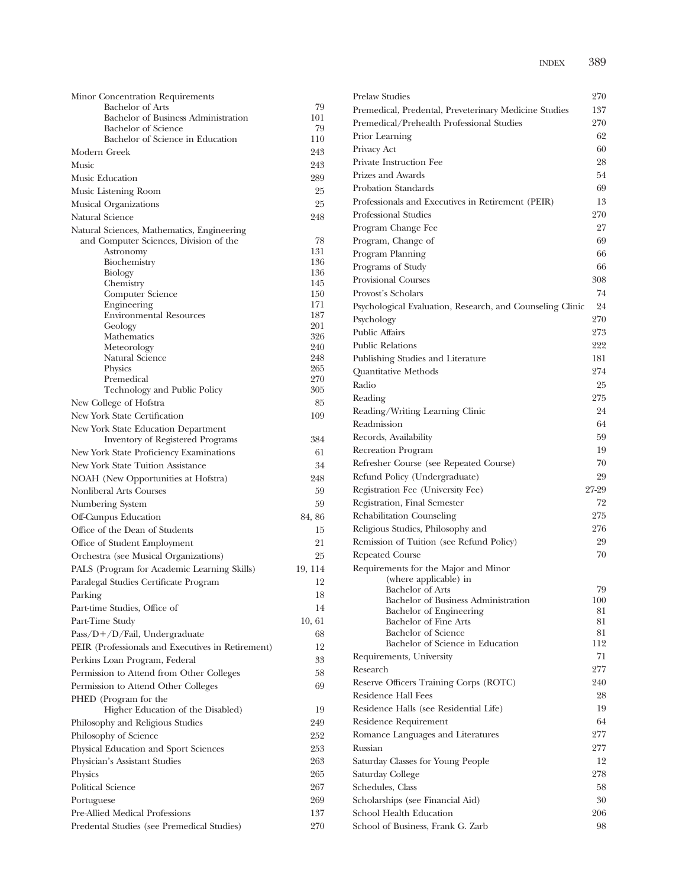| Minor Concentration Requirements                               |            | <b>Prelaw Studies</b>              |
|----------------------------------------------------------------|------------|------------------------------------|
| Bachelor of Arts                                               | 79         | Premedical, Pre                    |
| Bachelor of Business Administration                            | 101        | Premedical/Prel                    |
| <b>Bachelor</b> of Science<br>Bachelor of Science in Education | 79<br>110  | Prior Learning                     |
| Modern Greek                                                   | 243        | Privacy Act                        |
| Music                                                          | 243        | Private Instruction                |
| Music Education                                                | 289        | Prizes and Awar                    |
| Music Listening Room                                           | 25         | Probation Stand                    |
| <b>Musical Organizations</b>                                   | 25         | Professionals and                  |
| Natural Science                                                | 248        | Professional Stu                   |
| Natural Sciences, Mathematics, Engineering                     |            | Program Chang                      |
| and Computer Sciences, Division of the                         | 78         | Program, Chang                     |
| Astronomy                                                      | 131        | Program Planni                     |
| Biochemistry                                                   | 136        | Programs of Stu                    |
| Biology                                                        | 136<br>145 | Provisional Cour                   |
| Chemistry<br>Computer Science                                  | 150        | Provost's Schola                   |
| Engineering                                                    | 171        | Psychological Ev                   |
| <b>Environmental Resources</b>                                 | 187        | Psychology                         |
| Geology                                                        | 201        | <b>Public Affairs</b>              |
| Mathematics<br>Meteorology                                     | 326<br>240 | <b>Public Relations</b>            |
| Natural Science                                                | 248        | Publishing Studi                   |
| Physics                                                        | 265        | Quantitative Me                    |
| Premedical                                                     | 270        | Radio                              |
| Technology and Public Policy                                   | 305        | Reading                            |
| New College of Hofstra                                         | 85         | Reading/Writing                    |
| New York State Certification                                   | 109        | Readmission                        |
| New York State Education Department                            |            | Records, Availab                   |
| <b>Inventory of Registered Programs</b>                        | 384        |                                    |
| New York State Proficiency Examinations                        | 61         | Recreation Prog<br>Refresher Cours |
| New York State Tuition Assistance                              | 34         |                                    |
| NOAH (New Opportunities at Hofstra)                            | 248        | Refund Policy (1                   |
| Nonliberal Arts Courses                                        | 59         | Registration Fee                   |
| Numbering System                                               | 59         | Registration, Fin                  |
| Off-Campus Education                                           | 84, 86     | Rehabilitation C                   |
| Office of the Dean of Students                                 | 15         | Religious Studie                   |
| Office of Student Employment                                   | 21         | Remission of Tu                    |
| Orchestra (see Musical Organizations)                          | 25         | Repeated Cours                     |
| PALS (Program for Academic Learning Skills)                    | 19, 114    | Requirements fo<br>(where          |
| Paralegal Studies Certificate Program                          | 12         | Bachelo                            |
| Parking                                                        | 18         | Bachelo                            |
| Part-time Studies, Office of                                   | 14         | Bachelo                            |
| Part-Time Study                                                | 10, 61     | Bachelo<br>Bachelo                 |
| $Pass/D+/D/Fail$ , Undergraduate                               | 68         | Bachelo                            |
| PEIR (Professionals and Executives in Retirement)              | 12         | Requirements, U                    |
| Perkins Loan Program, Federal                                  | 33         | Research                           |
| Permission to Attend from Other Colleges                       | 58         | <b>Reserve Officers</b>            |
| Permission to Attend Other Colleges                            | 69         | Residence Hall I                   |
| PHED (Program for the<br>Higher Education of the Disabled)     | 19         | Residence Halls                    |
| Philosophy and Religious Studies                               | 249        | Residence Requ                     |
| Philosophy of Science                                          | 252        | Romance Langu                      |
| Physical Education and Sport Sciences                          | 253        | Russian                            |
| Physician's Assistant Studies                                  | 263        | Saturday Classes                   |
| Physics                                                        | 265        | Saturday College                   |
| Political Science                                              | 267        | Schedules, Class                   |
| Portuguese                                                     | 269        | Scholarships (se                   |
| Pre-Allied Medical Professions                                 | 137        | School Health E                    |
| Predental Studies (see Premedical Studies)                     | 270        | School of Busin                    |
|                                                                |            |                                    |

| <b>Prelaw Studies</b>                                          | 270           |
|----------------------------------------------------------------|---------------|
| Premedical, Predental, Preveterinary Medicine Studies          | 137           |
| Premedical/Prehealth Professional Studies                      | 270           |
| Prior Learning                                                 | 62            |
| Privacy Act                                                    | 60            |
| Private Instruction Fee                                        | 28            |
| Prizes and Awards                                              | 54            |
| Probation Standards                                            | 69            |
| Professionals and Executives in Retirement (PEIR)              | 13            |
| <b>Professional Studies</b>                                    | 270           |
| Program Change Fee                                             | 27            |
| Program, Change of                                             | 69            |
| Program Planning                                               | 66            |
| Programs of Study                                              | 66            |
| <b>Provisional Courses</b>                                     | 308           |
| Provost's Scholars                                             | 74            |
| Psychological Evaluation, Research, and Counseling Clinic      | 24            |
| Psychology                                                     | 270           |
| <b>Public Affairs</b>                                          | 273           |
| <b>Public Relations</b>                                        | 222           |
| Publishing Studies and Literature                              | 181           |
| Quantitative Methods                                           | 274           |
| Radio                                                          | 25            |
| Reading                                                        | 275           |
| Reading/Writing Learning Clinic                                | 24            |
| Readmission                                                    | 64            |
| Records, Availability                                          | 59            |
| Recreation Program                                             | 19            |
| Refresher Course (see Repeated Course)                         | 70            |
| Refund Policy (Undergraduate)                                  | 29            |
| Registration Fee (University Fee)                              | 27-29         |
| Registration, Final Semester                                   | 72            |
| Rehabilitation Counseling                                      | 275           |
| Religious Studies, Philosophy and                              | 276           |
| Remission of Tuition (see Refund Policy)                       | 29            |
| <b>Repeated Course</b>                                         | 70            |
| Requirements for the Major and Minor                           |               |
| (where applicable) in                                          |               |
| <b>Bachelor</b> of Arts                                        | 79            |
| Bachelor of Business Administration<br>Bachelor of Engineering | $100\,$<br>81 |
| Bachelor of Fine Arts                                          | 81            |
| <b>Bachelor</b> of Science                                     | 81            |
| Bachelor of Science in Education                               | 112           |
| Requirements, University                                       | 71            |
| Research                                                       | 277           |
| Reserve Officers Training Corps (ROTC)                         | 240           |
| Residence Hall Fees                                            | 28            |
| Residence Halls (see Residential Life)                         | 19            |
| Residence Requirement                                          | 64            |
| Romance Languages and Literatures                              | 277           |
| Russian                                                        | 277           |
| Saturday Classes for Young People                              | 12            |
| Saturday College                                               | 278           |
| Schedules, Class                                               | 58            |
| Scholarships (see Financial Aid)                               | 30            |
| School Health Education                                        | 206           |
| School of Business, Frank G. Zarb                              | 98            |